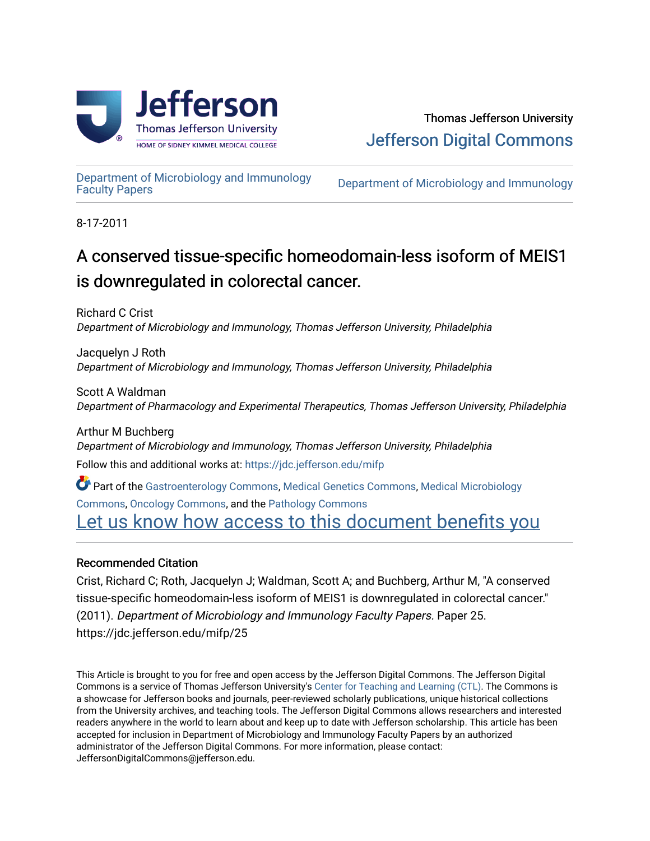

[Department of Microbiology and Immunology](https://jdc.jefferson.edu/mifp) 

Department of Microbiology and Immunology

8-17-2011

# A conserved tissue-specific homeodomain-less isoform of MEIS1 is downregulated in colorectal cancer.

Richard C Crist Department of Microbiology and Immunology, Thomas Jefferson University, Philadelphia

Jacquelyn J Roth Department of Microbiology and Immunology, Thomas Jefferson University, Philadelphia

Scott A Waldman Department of Pharmacology and Experimental Therapeutics, Thomas Jefferson University, Philadelphia

Arthur M Buchberg Department of Microbiology and Immunology, Thomas Jefferson University, Philadelphia Follow this and additional works at: [https://jdc.jefferson.edu/mifp](https://jdc.jefferson.edu/mifp?utm_source=jdc.jefferson.edu%2Fmifp%2F25&utm_medium=PDF&utm_campaign=PDFCoverPages)

Part of the [Gastroenterology Commons](http://network.bepress.com/hgg/discipline/687?utm_source=jdc.jefferson.edu%2Fmifp%2F25&utm_medium=PDF&utm_campaign=PDFCoverPages), [Medical Genetics Commons](http://network.bepress.com/hgg/discipline/670?utm_source=jdc.jefferson.edu%2Fmifp%2F25&utm_medium=PDF&utm_campaign=PDFCoverPages), [Medical Microbiology](http://network.bepress.com/hgg/discipline/672?utm_source=jdc.jefferson.edu%2Fmifp%2F25&utm_medium=PDF&utm_campaign=PDFCoverPages)  [Commons](http://network.bepress.com/hgg/discipline/672?utm_source=jdc.jefferson.edu%2Fmifp%2F25&utm_medium=PDF&utm_campaign=PDFCoverPages), [Oncology Commons,](http://network.bepress.com/hgg/discipline/694?utm_source=jdc.jefferson.edu%2Fmifp%2F25&utm_medium=PDF&utm_campaign=PDFCoverPages) and the [Pathology Commons](http://network.bepress.com/hgg/discipline/699?utm_source=jdc.jefferson.edu%2Fmifp%2F25&utm_medium=PDF&utm_campaign=PDFCoverPages) [Let us know how access to this document benefits you](https://library.jefferson.edu/forms/jdc/index.cfm) 

## Recommended Citation

Crist, Richard C; Roth, Jacquelyn J; Waldman, Scott A; and Buchberg, Arthur M, "A conserved tissue-specific homeodomain-less isoform of MEIS1 is downregulated in colorectal cancer." (2011). Department of Microbiology and Immunology Faculty Papers. Paper 25. https://jdc.jefferson.edu/mifp/25

This Article is brought to you for free and open access by the Jefferson Digital Commons. The Jefferson Digital Commons is a service of Thomas Jefferson University's [Center for Teaching and Learning \(CTL\)](http://www.jefferson.edu/university/teaching-learning.html/). The Commons is a showcase for Jefferson books and journals, peer-reviewed scholarly publications, unique historical collections from the University archives, and teaching tools. The Jefferson Digital Commons allows researchers and interested readers anywhere in the world to learn about and keep up to date with Jefferson scholarship. This article has been accepted for inclusion in Department of Microbiology and Immunology Faculty Papers by an authorized administrator of the Jefferson Digital Commons. For more information, please contact: JeffersonDigitalCommons@jefferson.edu.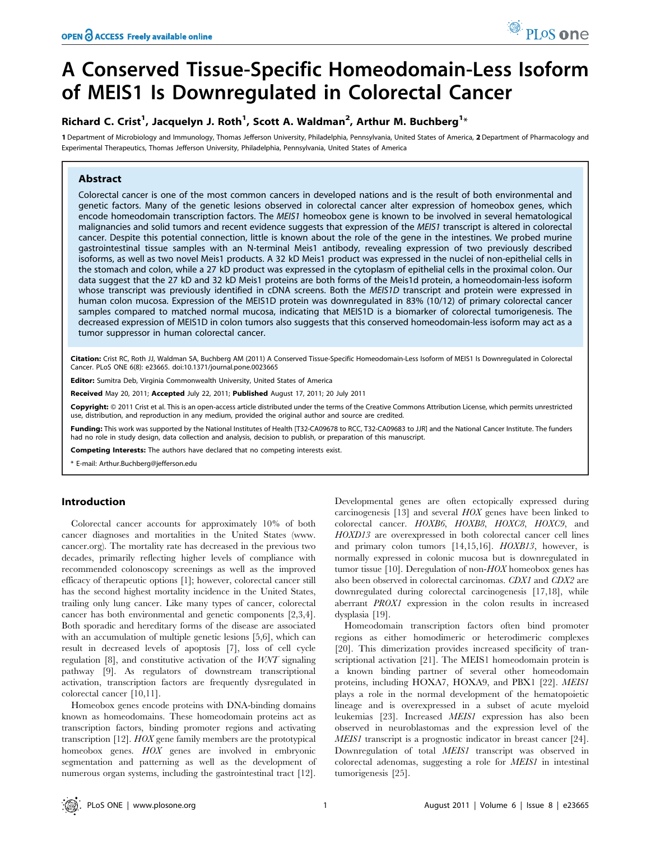# A Conserved Tissue-Specific Homeodomain-Less Isoform of MEIS1 Is Downregulated in Colorectal Cancer

## Richard C. Crist<sup>1</sup>, Jacquelyn J. Roth<sup>1</sup>, Scott A. Waldman<sup>2</sup>, Arthur M. Buchberg<sup>1\*</sup>

1 Department of Microbiology and Immunology, Thomas Jefferson University, Philadelphia, Pennsylvania, United States of America, 2 Department of Pharmacology and Experimental Therapeutics, Thomas Jefferson University, Philadelphia, Pennsylvania, United States of America

## Abstract

Colorectal cancer is one of the most common cancers in developed nations and is the result of both environmental and genetic factors. Many of the genetic lesions observed in colorectal cancer alter expression of homeobox genes, which encode homeodomain transcription factors. The MEIS1 homeobox gene is known to be involved in several hematological malignancies and solid tumors and recent evidence suggests that expression of the MEIS1 transcript is altered in colorectal cancer. Despite this potential connection, little is known about the role of the gene in the intestines. We probed murine gastrointestinal tissue samples with an N-terminal Meis1 antibody, revealing expression of two previously described isoforms, as well as two novel Meis1 products. A 32 kD Meis1 product was expressed in the nuclei of non-epithelial cells in the stomach and colon, while a 27 kD product was expressed in the cytoplasm of epithelial cells in the proximal colon. Our data suggest that the 27 kD and 32 kD Meis1 proteins are both forms of the Meis1d protein, a homeodomain-less isoform whose transcript was previously identified in cDNA screens. Both the MEIS1D transcript and protein were expressed in human colon mucosa. Expression of the MEIS1D protein was downregulated in 83% (10/12) of primary colorectal cancer samples compared to matched normal mucosa, indicating that MEIS1D is a biomarker of colorectal tumorigenesis. The decreased expression of MEIS1D in colon tumors also suggests that this conserved homeodomain-less isoform may act as a tumor suppressor in human colorectal cancer.

Citation: Crist RC, Roth JJ, Waldman SA, Buchberg AM (2011) A Conserved Tissue-Specific Homeodomain-Less Isoform of MEIS1 Is Downregulated in Colorectal Cancer. PLoS ONE 6(8): e23665. doi:10.1371/journal.pone.0023665

Editor: Sumitra Deb, Virginia Commonwealth University, United States of America

Received May 20, 2011; Accepted July 22, 2011; Published August 17, 2011; 20 July 2011

Copyright: © 2011 Crist et al. This is an open-access article distributed under the terms of the Creative Commons Attribution License, which permits unrestricted use, distribution, and reproduction in any medium, provided the original author and source are credited.

Funding: This work was supported by the National Institutes of Health [T32-CA09678 to RCC, T32-CA09683 to JJR] and the National Cancer Institute. The funders had no role in study design, data collection and analysis, decision to publish, or preparation of this manuscript.

Competing Interests: The authors have declared that no competing interests exist.

\* E-mail: Arthur.Buchberg@jefferson.edu

### Introduction

Colorectal cancer accounts for approximately 10% of both cancer diagnoses and mortalities in the United States (www. cancer.org). The mortality rate has decreased in the previous two decades, primarily reflecting higher levels of compliance with recommended colonoscopy screenings as well as the improved efficacy of therapeutic options [1]; however, colorectal cancer still has the second highest mortality incidence in the United States, trailing only lung cancer. Like many types of cancer, colorectal cancer has both environmental and genetic components [2,3,4]. Both sporadic and hereditary forms of the disease are associated with an accumulation of multiple genetic lesions [5,6], which can result in decreased levels of apoptosis [7], loss of cell cycle regulation [8], and constitutive activation of the WNT signaling pathway [9]. As regulators of downstream transcriptional activation, transcription factors are frequently dysregulated in colorectal cancer [10,11].

Homeobox genes encode proteins with DNA-binding domains known as homeodomains. These homeodomain proteins act as transcription factors, binding promoter regions and activating transcription [12]. HOX gene family members are the prototypical homeobox genes.  $HOX$  genes are involved in embryonic segmentation and patterning as well as the development of numerous organ systems, including the gastrointestinal tract [12].

Developmental genes are often ectopically expressed during carcinogenesis [13] and several HOX genes have been linked to colorectal cancer. HOXB6, HOXB8, HOXC8, HOXC9, and HOXD13 are overexpressed in both colorectal cancer cell lines and primary colon tumors [14,15,16]. HOXB13, however, is normally expressed in colonic mucosa but is downregulated in tumor tissue  $[10]$ . Deregulation of non- $HOX$  homeobox genes has also been observed in colorectal carcinomas. CDX1 and CDX2 are downregulated during colorectal carcinogenesis [17,18], while aberrant PROX1 expression in the colon results in increased dysplasia [19].

Homeodomain transcription factors often bind promoter regions as either homodimeric or heterodimeric complexes [20]. This dimerization provides increased specificity of transcriptional activation [21]. The MEIS1 homeodomain protein is a known binding partner of several other homeodomain proteins, including HOXA7, HOXA9, and PBX1 [22]. MEIS1 plays a role in the normal development of the hematopoietic lineage and is overexpressed in a subset of acute myeloid leukemias [23]. Increased MEIS1 expression has also been observed in neuroblastomas and the expression level of the MEIS1 transcript is a prognostic indicator in breast cancer [24]. Downregulation of total MEIS1 transcript was observed in colorectal adenomas, suggesting a role for MEIS1 in intestinal tumorigenesis [25].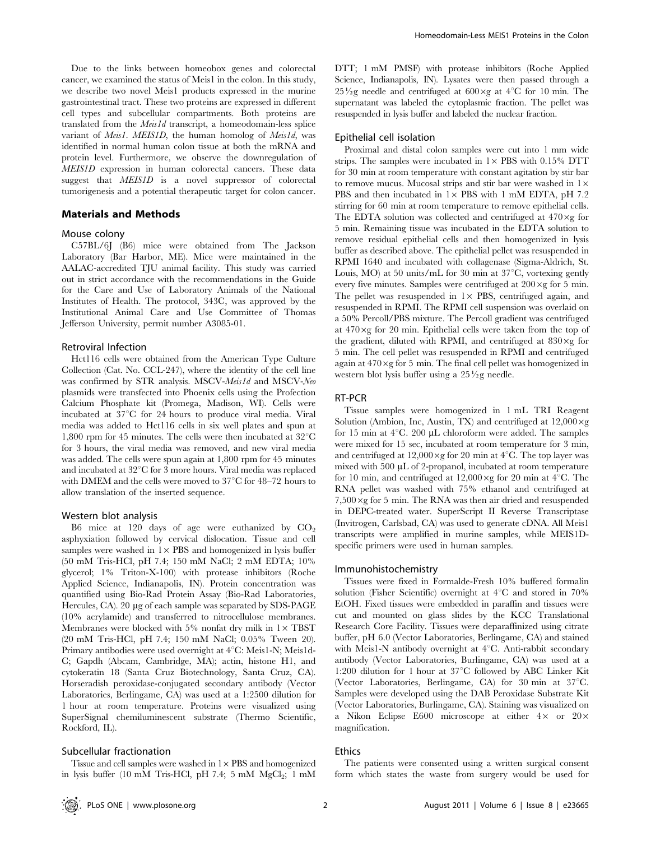Due to the links between homeobox genes and colorectal cancer, we examined the status of Meis1 in the colon. In this study, we describe two novel Meis1 products expressed in the murine gastrointestinal tract. These two proteins are expressed in different cell types and subcellular compartments. Both proteins are translated from the Meis1d transcript, a homeodomain-less splice variant of *Meis1*. MEIS1D, the human homolog of *Meis1d*, was identified in normal human colon tissue at both the mRNA and protein level. Furthermore, we observe the downregulation of MEIS1D expression in human colorectal cancers. These data suggest that *MEIS1D* is a novel suppressor of colorectal tumorigenesis and a potential therapeutic target for colon cancer.

#### Materials and Methods

#### Mouse colony

C57BL/6J (B6) mice were obtained from The Jackson Laboratory (Bar Harbor, ME). Mice were maintained in the AALAC-accredited TJU animal facility. This study was carried out in strict accordance with the recommendations in the Guide for the Care and Use of Laboratory Animals of the National Institutes of Health. The protocol, 343C, was approved by the Institutional Animal Care and Use Committee of Thomas Jefferson University, permit number A3085-01.

#### Retroviral Infection

Hct116 cells were obtained from the American Type Culture Collection (Cat. No. CCL-247), where the identity of the cell line was confirmed by STR analysis. MSCV-Meis1d and MSCV-Neo plasmids were transfected into Phoenix cells using the Profection Calcium Phosphate kit (Promega, Madison, WI). Cells were incubated at  $37^{\circ}$ C for 24 hours to produce viral media. Viral media was added to Hct116 cells in six well plates and spun at 1,800 rpm for 45 minutes. The cells were then incubated at  $32^{\circ}$ C for 3 hours, the viral media was removed, and new viral media was added. The cells were spun again at 1,800 rpm for 45 minutes and incubated at  $32^{\circ}$ C for 3 more hours. Viral media was replaced with DMEM and the cells were moved to  $37^{\circ}$ C for 48–72 hours to allow translation of the inserted sequence.

#### Western blot analysis

B6 mice at 120 days of age were euthanized by  $CO<sub>2</sub>$ asphyxiation followed by cervical dislocation. Tissue and cell samples were washed in  $1\times$  PBS and homogenized in lysis buffer (50 mM Tris-HCl, pH 7.4; 150 mM NaCl; 2 mM EDTA; 10% glycerol; 1% Triton-X-100) with protease inhibitors (Roche Applied Science, Indianapolis, IN). Protein concentration was quantified using Bio-Rad Protein Assay (Bio-Rad Laboratories, Hercules, CA). 20 µg of each sample was separated by SDS-PAGE (10% acrylamide) and transferred to nitrocellulose membranes. Membranes were blocked with 5% nonfat dry milk in  $1 \times TBST$ (20 mM Tris-HCl, pH 7.4; 150 mM NaCl; 0.05% Tween 20). Primary antibodies were used overnight at  $4^{\circ}$ C: Meis1-N; Meis1d-C; Gapdh (Abcam, Cambridge, MA); actin, histone H1, and cytokeratin 18 (Santa Cruz Biotechnology, Santa Cruz, CA). Horseradish peroxidase-conjugated secondary antibody (Vector Laboratories, Berlingame, CA) was used at a 1:2500 dilution for 1 hour at room temperature. Proteins were visualized using SuperSignal chemiluminescent substrate (Thermo Scientific, Rockford, IL).

#### Subcellular fractionation

Tissue and cell samples were washed in  $1 \times PBS$  and homogenized in lysis buffer (10 mM Tris-HCl, pH 7.4; 5 mM  $MgCl<sub>2</sub>$ ; 1 mM

DTT; 1 mM PMSF) with protease inhibitors (Roche Applied Science, Indianapolis, IN). Lysates were then passed through a  $25\frac{1}{2}$ g needle and centrifuged at  $600 \times g$  at  $4^{\circ}$ C for 10 min. The supernatant was labeled the cytoplasmic fraction. The pellet was resuspended in lysis buffer and labeled the nuclear fraction.

#### Epithelial cell isolation

Proximal and distal colon samples were cut into 1 mm wide strips. The samples were incubated in  $1 \times$  PBS with 0.15% DTT for 30 min at room temperature with constant agitation by stir bar to remove mucus. Mucosal strips and stir bar were washed in  $1\times$ PBS and then incubated in  $1 \times$  PBS with 1 mM EDTA, pH 7.2 stirring for 60 min at room temperature to remove epithelial cells. The EDTA solution was collected and centrifuged at  $470 \times g$  for 5 min. Remaining tissue was incubated in the EDTA solution to remove residual epithelial cells and then homogenized in lysis buffer as described above. The epithelial pellet was resuspended in RPMI 1640 and incubated with collagenase (Sigma-Aldrich, St. Louis, MO) at 50 units/mL for 30 min at  $37^{\circ}$ C, vortexing gently every five minutes. Samples were centrifuged at  $200 \times g$  for 5 min. The pellet was resuspended in  $1 \times$  PBS, centrifuged again, and resuspended in RPMI. The RPMI cell suspension was overlaid on a 50% Percoll/PBS mixture. The Percoll gradient was centrifuged at  $470 \times g$  for 20 min. Epithelial cells were taken from the top of the gradient, diluted with RPMI, and centrifuged at  $830 \times g$  for 5 min. The cell pellet was resuspended in RPMI and centrifuged again at  $470 \times g$  for 5 min. The final cell pellet was homogenized in western blot lysis buffer using a  $25\frac{1}{2}$ g needle.

### RT-PCR

Tissue samples were homogenized in 1 mL TRI Reagent Solution (Ambion, Inc, Austin, TX) and centrifuged at  $12,000 \times g$ for 15 min at  $4^{\circ}$ C. 200 µL chloroform were added. The samples were mixed for 15 sec, incubated at room temperature for 3 min, and centrifuged at  $12,000 \times g$  for 20 min at  $4^{\circ}$ C. The top layer was mixed with 500 µL of 2-propanol, incubated at room temperature for 10 min, and centrifuged at  $12,000 \times g$  for 20 min at 4<sup>°</sup>C. The RNA pellet was washed with 75% ethanol and centrifuged at  $7,500 \times g$  for 5 min. The RNA was then air dried and resuspended in DEPC-treated water. SuperScript II Reverse Transcriptase (Invitrogen, Carlsbad, CA) was used to generate cDNA. All Meis1 transcripts were amplified in murine samples, while MEIS1Dspecific primers were used in human samples.

#### Immunohistochemistry

Tissues were fixed in Formalde-Fresh 10% buffered formalin solution (Fisher Scientific) overnight at  $4^{\circ}$ C and stored in 70% EtOH. Fixed tissues were embedded in paraffin and tissues were cut and mounted on glass slides by the KCC Translational Research Core Facility. Tissues were deparaffinized using citrate buffer, pH 6.0 (Vector Laboratories, Berlingame, CA) and stained with Meis1-N antibody overnight at  $4^{\circ}$ C. Anti-rabbit secondary antibody (Vector Laboratories, Burlingame, CA) was used at a 1:200 dilution for 1 hour at  $37^{\circ}$ C followed by ABC Linker Kit (Vector Laboratories, Berlingame, CA) for 30 min at  $37^{\circ}$ C. Samples were developed using the DAB Peroxidase Substrate Kit (Vector Laboratories, Burlingame, CA). Staining was visualized on a Nikon Eclipse E600 microscope at either  $4 \times$  or  $20 \times$ magnification.

#### Ethics

The patients were consented using a written surgical consent form which states the waste from surgery would be used for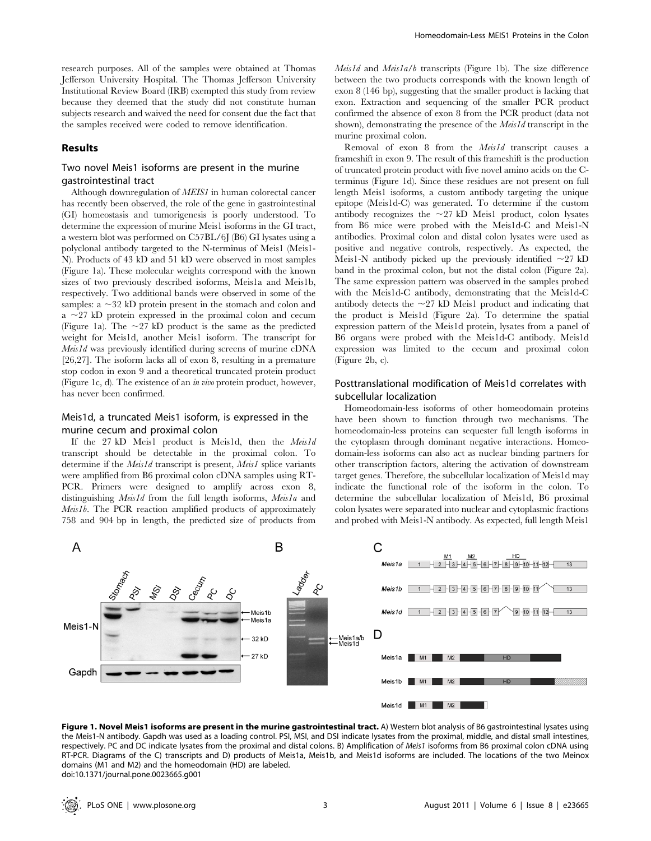research purposes. All of the samples were obtained at Thomas Jefferson University Hospital. The Thomas Jefferson University Institutional Review Board (IRB) exempted this study from review because they deemed that the study did not constitute human subjects research and waived the need for consent due the fact that the samples received were coded to remove identification.

#### Results

## Two novel Meis1 isoforms are present in the murine gastrointestinal tract

Although downregulation of MEIS1 in human colorectal cancer has recently been observed, the role of the gene in gastrointestinal (GI) homeostasis and tumorigenesis is poorly understood. To determine the expression of murine Meis1 isoforms in the GI tract, a western blot was performed on C57BL/6J (B6) GI lysates using a polyclonal antibody targeted to the N-terminus of Meis1 (Meis1- N). Products of 43 kD and 51 kD were observed in most samples (Figure 1a). These molecular weights correspond with the known sizes of two previously described isoforms, Meis1a and Meis1b, respectively. Two additional bands were observed in some of the samples:  $a \sim 32$  kD protein present in the stomach and colon and  $a \sim 27$  kD protein expressed in the proximal colon and cecum (Figure 1a). The  $\sim$ 27 kD product is the same as the predicted weight for Meis1d, another Meis1 isoform. The transcript for Meis1d was previously identified during screens of murine cDNA [26,27]. The isoform lacks all of exon 8, resulting in a premature stop codon in exon 9 and a theoretical truncated protein product (Figure 1c, d). The existence of an in vivo protein product, however, has never been confirmed.

## Meis1d, a truncated Meis1 isoform, is expressed in the murine cecum and proximal colon

If the 27 kD Meis1 product is Meis1d, then the Meis1d transcript should be detectable in the proximal colon. To determine if the *Meis1d* transcript is present, *Meis1* splice variants were amplified from B6 proximal colon cDNA samples using RT-PCR. Primers were designed to amplify across exon 8, distinguishing Meis1d from the full length isoforms, Meis1a and Meis1b. The PCR reaction amplified products of approximately 758 and 904 bp in length, the predicted size of products from  $Meis1d$  and  $Meis1a/b$  transcripts (Figure 1b). The size difference between the two products corresponds with the known length of exon 8 (146 bp), suggesting that the smaller product is lacking that exon. Extraction and sequencing of the smaller PCR product confirmed the absence of exon 8 from the PCR product (data not shown), demonstrating the presence of the *Meis1d* transcript in the murine proximal colon.

Removal of exon 8 from the Meis1d transcript causes a frameshift in exon 9. The result of this frameshift is the production of truncated protein product with five novel amino acids on the Cterminus (Figure 1d). Since these residues are not present on full length Meis1 isoforms, a custom antibody targeting the unique epitope (Meis1d-C) was generated. To determine if the custom antibody recognizes the  $\sim$ 27 kD Meis1 product, colon lysates from B6 mice were probed with the Meis1d-C and Meis1-N antibodies. Proximal colon and distal colon lysates were used as positive and negative controls, respectively. As expected, the Meis1-N antibody picked up the previously identified  $\sim$ 27 kD band in the proximal colon, but not the distal colon (Figure 2a). The same expression pattern was observed in the samples probed with the Meis1d-C antibody, demonstrating that the Meis1d-C antibody detects the  $\sim$ 27 kD Meis1 product and indicating that the product is Meis1d (Figure 2a). To determine the spatial expression pattern of the Meis1d protein, lysates from a panel of B6 organs were probed with the Meis1d-C antibody. Meis1d expression was limited to the cecum and proximal colon (Figure 2b, c).

## Posttranslational modification of Meis1d correlates with subcellular localization

Homeodomain-less isoforms of other homeodomain proteins have been shown to function through two mechanisms. The homeodomain-less proteins can sequester full length isoforms in the cytoplasm through dominant negative interactions. Homeodomain-less isoforms can also act as nuclear binding partners for other transcription factors, altering the activation of downstream target genes. Therefore, the subcellular localization of Meis1d may indicate the functional role of the isoform in the colon. To determine the subcellular localization of Meis1d, B6 proximal colon lysates were separated into nuclear and cytoplasmic fractions and probed with Meis1-N antibody. As expected, full length Meis1



Figure 1. Novel Meis1 isoforms are present in the murine gastrointestinal tract. A) Western blot analysis of B6 gastrointestinal lysates using the Meis1-N antibody. Gapdh was used as a loading control. PSI, MSI, and DSI indicate lysates from the proximal, middle, and distal small intestines, respectively. PC and DC indicate lysates from the proximal and distal colons. B) Amplification of Meis1 isoforms from B6 proximal colon cDNA using RT-PCR. Diagrams of the C) transcripts and D) products of Meis1a, Meis1b, and Meis1d isoforms are included. The locations of the two Meinox domains (M1 and M2) and the homeodomain (HD) are labeled. doi:10.1371/journal.pone.0023665.g001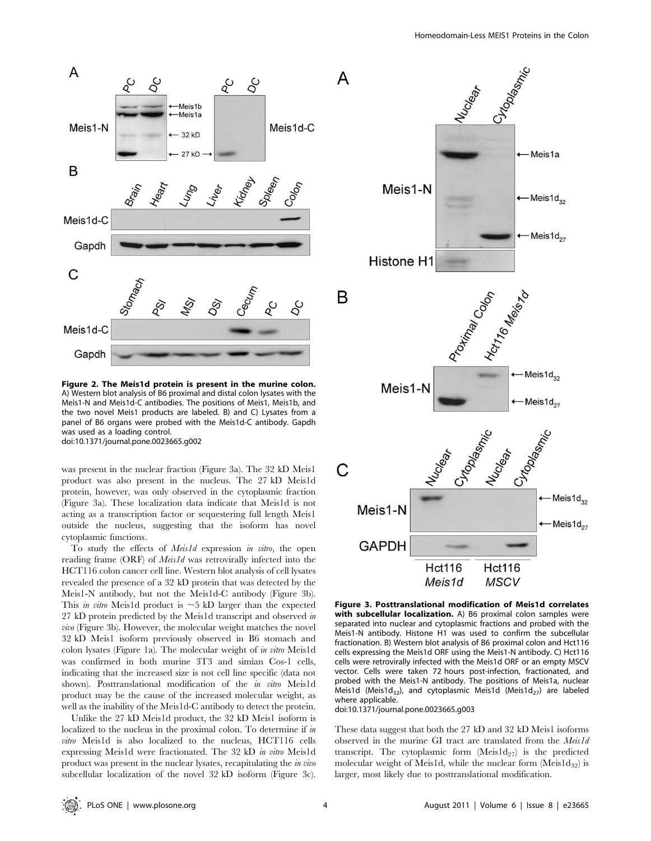

Figure 2. The Meis1d protein is present in the murine colon. A) Western blot analysis of B6 proximal and distal colon lysates with the Meis1-N and Meis1d-C antibodies. The positions of Meis1, Meis1b, and the two novel Meis1 products are labeled. B) and C) Lysates from a panel of B6 organs were probed with the Meis1d-C antibody. Gapdh was used as a loading control. doi:10.1371/journal.pone.0023665.g002

was present in the nuclear fraction (Figure 3a). The 32 kD Meis1 product was also present in the nucleus. The 27 kD Meis1d protein, however, was only observed in the cytoplasmic fraction (Figure 3a). These localization data indicate that Meis1d is not acting as a transcription factor or sequestering full length Meis1 outside the nucleus, suggesting that the isoform has novel cytoplasmic functions.

To study the effects of *Meis1d* expression in vitro, the open reading frame (ORF) of *Meis1d* was retrovirally infected into the HCT116 colon cancer cell line. Western blot analysis of cell lysates revealed the presence of a 32 kD protein that was detected by the Meis1-N antibody, but not the Meis1d-C antibody (Figure 3b). This *in vitro* Meis1d product is  $\sim$ 5 kD larger than the expected 27 kD protein predicted by the Meis1d transcript and observed in vivo (Figure 3b). However, the molecular weight matches the novel 32 kD Meis1 isoform previously observed in B6 stomach and colon lysates (Figure 1a). The molecular weight of in vitro Meis1d was confirmed in both murine 3T3 and simian Cos-1 cells, indicating that the increased size is not cell line specific (data not shown). Posttranslational modification of the *in vitro* Meis1d product may be the cause of the increased molecular weight, as well as the inability of the Meis1d-C antibody to detect the protein.

Unlike the 27 kD Meis1d product, the 32 kD Meis1 isoform is localized to the nucleus in the proximal colon. To determine if in vitro Meis1d is also localized to the nucleus, HCT116 cells expressing Meis1d were fractionated. The 32 kD in vitro Meis1d product was present in the nuclear lysates, recapitulating the in vivo subcellular localization of the novel 32 kD isoform (Figure 3c).



Figure 3. Posttranslational modification of Meis1d correlates with subcellular localization. A) B6 proximal colon samples were separated into nuclear and cytoplasmic fractions and probed with the Meis1-N antibody. Histone H1 was used to confirm the subcellular fractionation. B) Western blot analysis of B6 proximal colon and Hct116 cells expressing the Meis1d ORF using the Meis1-N antibody. C) Hct116 cells were retrovirally infected with the Meis1d ORF or an empty MSCV vector. Cells were taken 72 hours post-infection, fractionated, and probed with the Meis1-N antibody. The positions of Meis1a, nuclear Meis1d (Meis1d<sub>32</sub>), and cytoplasmic Meis1d (Meis1d<sub>27</sub>) are labeled where applicable.

doi:10.1371/journal.pone.0023665.g003

These data suggest that both the 27 kD and 32 kD Meis1 isoforms observed in the murine GI tract are translated from the Meis1d transcript. The cytoplasmic form  $(Meis1d_{27})$  is the predicted molecular weight of Meis1d, while the nuclear form  $(Meis1d_{32})$  is larger, most likely due to posttranslational modification.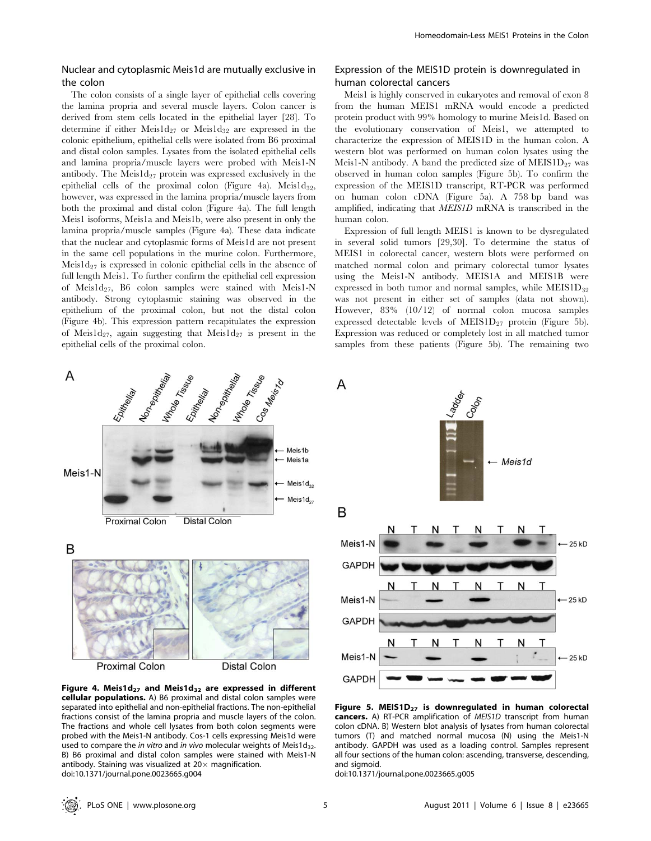## Nuclear and cytoplasmic Meis1d are mutually exclusive in the colon

The colon consists of a single layer of epithelial cells covering the lamina propria and several muscle layers. Colon cancer is derived from stem cells located in the epithelial layer [28]. To determine if either Meis $1d_{27}$  or Meis $1d_{32}$  are expressed in the colonic epithelium, epithelial cells were isolated from B6 proximal and distal colon samples. Lysates from the isolated epithelial cells and lamina propria/muscle layers were probed with Meis1-N antibody. The Meis $1d_{27}$  protein was expressed exclusively in the epithelial cells of the proximal colon (Figure 4a). Meis $1d_{32}$ , however, was expressed in the lamina propria/muscle layers from both the proximal and distal colon (Figure 4a). The full length Meis1 isoforms, Meis1a and Meis1b, were also present in only the lamina propria/muscle samples (Figure 4a). These data indicate that the nuclear and cytoplasmic forms of Meis1d are not present in the same cell populations in the murine colon. Furthermore, Meis $1d_{27}$  is expressed in colonic epithelial cells in the absence of full length Meis1. To further confirm the epithelial cell expression of Meis1d<sub>27</sub>, B6 colon samples were stained with Meis1-N antibody. Strong cytoplasmic staining was observed in the epithelium of the proximal colon, but not the distal colon (Figure 4b). This expression pattern recapitulates the expression of Meis1d<sub>27</sub>, again suggesting that Meis1d<sub>27</sub> is present in the epithelial cells of the proximal colon.



Meis1 is highly conserved in eukaryotes and removal of exon 8 from the human MEIS1 mRNA would encode a predicted protein product with 99% homology to murine Meis1d. Based on the evolutionary conservation of Meis1, we attempted to characterize the expression of MEIS1D in the human colon. A western blot was performed on human colon lysates using the Meis1-N antibody. A band the predicted size of MEIS1D $_{27}$  was observed in human colon samples (Figure 5b). To confirm the expression of the MEIS1D transcript, RT-PCR was performed on human colon cDNA (Figure 5a). A 758 bp band was amplified, indicating that MEIS1D mRNA is transcribed in the human colon.

Expression of full length MEIS1 is known to be dysregulated in several solid tumors [29,30]. To determine the status of MEIS1 in colorectal cancer, western blots were performed on matched normal colon and primary colorectal tumor lysates using the Meis1-N antibody. MEIS1A and MEIS1B were expressed in both tumor and normal samples, while  $MEIS1D_{32}$ was not present in either set of samples (data not shown). However, 83% (10/12) of normal colon mucosa samples expressed detectable levels of MEIS1D $_{27}$  protein (Figure 5b). Expression was reduced or completely lost in all matched tumor samples from these patients (Figure 5b). The remaining two



Figure 4. Meis1d<sub>27</sub> and Meis1d<sub>32</sub> are expressed in different cellular populations. A) B6 proximal and distal colon samples were separated into epithelial and non-epithelial fractions. The non-epithelial fractions consist of the lamina propria and muscle layers of the colon. The fractions and whole cell lysates from both colon segments were probed with the Meis1-N antibody. Cos-1 cells expressing Meis1d were used to compare the in vitro and in vivo molecular weights of Meis1d<sub>32</sub>. B) B6 proximal and distal colon samples were stained with Meis1-N antibody. Staining was visualized at  $20\times$  magnification. doi:10.1371/journal.pone.0023665.g004



Figure 5. MEIS1 $D_{27}$  is downregulated in human colorectal cancers. A) RT-PCR amplification of MEIS1D transcript from human colon cDNA. B) Western blot analysis of lysates from human colorectal tumors (T) and matched normal mucosa (N) using the Meis1-N antibody. GAPDH was used as a loading control. Samples represent all four sections of the human colon: ascending, transverse, descending, and sigmoid.

doi:10.1371/journal.pone.0023665.g005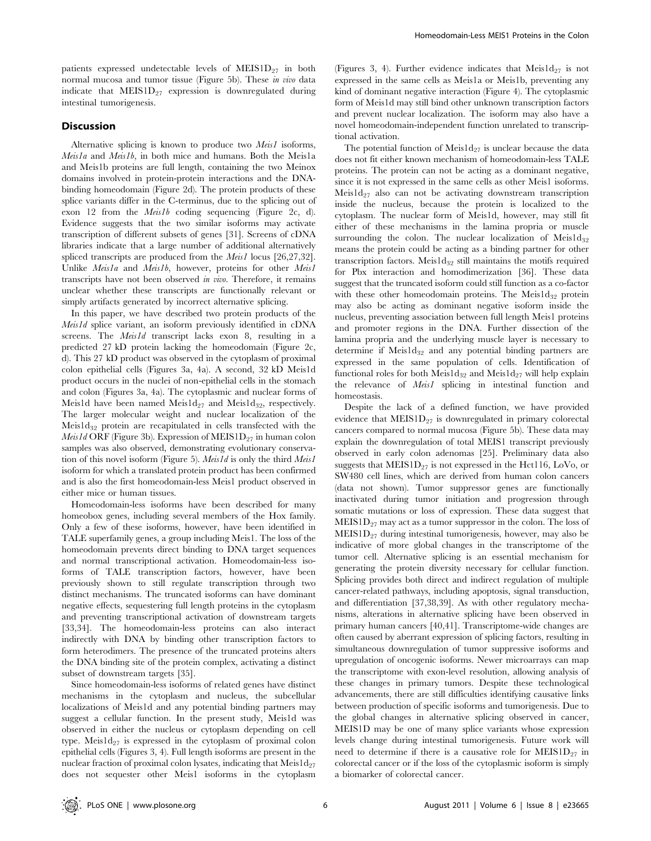patients expressed undetectable levels of  $MEIS1D_{27}$  in both normal mucosa and tumor tissue (Figure 5b). These in vivo data indicate that  $MEIS1D_{27}$  expression is downregulated during intestinal tumorigenesis.

## Discussion

Alternative splicing is known to produce two *Meis1* isoforms, Meis1a and Meis1b, in both mice and humans. Both the Meis1a and Meis1b proteins are full length, containing the two Meinox domains involved in protein-protein interactions and the DNAbinding homeodomain (Figure 2d). The protein products of these splice variants differ in the C-terminus, due to the splicing out of exon 12 from the Meis1b coding sequencing (Figure 2c, d). Evidence suggests that the two similar isoforms may activate transcription of different subsets of genes [31]. Screens of cDNA libraries indicate that a large number of additional alternatively spliced transcripts are produced from the *Meis1* locus [26,27,32]. Unlike Meisla and Meislb, however, proteins for other Meisl transcripts have not been observed in vivo. Therefore, it remains unclear whether these transcripts are functionally relevant or simply artifacts generated by incorrect alternative splicing.

In this paper, we have described two protein products of the Meis1d splice variant, an isoform previously identified in cDNA screens. The *Meis1d* transcript lacks exon 8, resulting in a predicted 27 kD protein lacking the homeodomain (Figure 2c, d). This 27 kD product was observed in the cytoplasm of proximal colon epithelial cells (Figures 3a, 4a). A second, 32 kD Meis1d product occurs in the nuclei of non-epithelial cells in the stomach and colon (Figures 3a, 4a). The cytoplasmic and nuclear forms of Meis1d have been named Meis1d<sub>27</sub> and Meis1d<sub>32</sub>, respectively. The larger molecular weight and nuclear localization of the Meis1 $d_{32}$  protein are recapitulated in cells transfected with the Meis1d ORF (Figure 3b). Expression of MEIS1 $D_{27}$  in human colon samples was also observed, demonstrating evolutionary conservation of this novel isoform (Figure 5). Meis1d is only the third Meis1 isoform for which a translated protein product has been confirmed and is also the first homeodomain-less Meis1 product observed in either mice or human tissues.

Homeodomain-less isoforms have been described for many homeobox genes, including several members of the Hox family. Only a few of these isoforms, however, have been identified in TALE superfamily genes, a group including Meis1. The loss of the homeodomain prevents direct binding to DNA target sequences and normal transcriptional activation. Homeodomain-less isoforms of TALE transcription factors, however, have been previously shown to still regulate transcription through two distinct mechanisms. The truncated isoforms can have dominant negative effects, sequestering full length proteins in the cytoplasm and preventing transcriptional activation of downstream targets [33,34]. The homeodomain-less proteins can also interact indirectly with DNA by binding other transcription factors to form heterodimers. The presence of the truncated proteins alters the DNA binding site of the protein complex, activating a distinct subset of downstream targets [35].

Since homeodomain-less isoforms of related genes have distinct mechanisms in the cytoplasm and nucleus, the subcellular localizations of Meis1d and any potential binding partners may suggest a cellular function. In the present study, Meis1d was observed in either the nucleus or cytoplasm depending on cell type.  $Meis1d_{27}$  is expressed in the cytoplasm of proximal colon epithelial cells (Figures 3, 4). Full length isoforms are present in the nuclear fraction of proximal colon lysates, indicating that  $Meis1d_{27}$ does not sequester other Meis1 isoforms in the cytoplasm

(Figures 3, 4). Further evidence indicates that  $Meis1d_{27}$  is not expressed in the same cells as Meis1a or Meis1b, preventing any kind of dominant negative interaction (Figure 4). The cytoplasmic form of Meis1d may still bind other unknown transcription factors and prevent nuclear localization. The isoform may also have a novel homeodomain-independent function unrelated to transcriptional activation.

The potential function of Meis $1d_{27}$  is unclear because the data does not fit either known mechanism of homeodomain-less TALE proteins. The protein can not be acting as a dominant negative, since it is not expressed in the same cells as other Meis1 isoforms. Meis $1d_{27}$  also can not be activating downstream transcription inside the nucleus, because the protein is localized to the cytoplasm. The nuclear form of Meis1d, however, may still fit either of these mechanisms in the lamina propria or muscle surrounding the colon. The nuclear localization of Meis $1d_{32}$ means the protein could be acting as a binding partner for other transcription factors. Meis $1d_{32}$  still maintains the motifs required for Pbx interaction and homodimerization [36]. These data suggest that the truncated isoform could still function as a co-factor with these other homeodomain proteins. The Meis $1d_{32}$  protein may also be acting as dominant negative isoform inside the nucleus, preventing association between full length Meis1 proteins and promoter regions in the DNA. Further dissection of the lamina propria and the underlying muscle layer is necessary to determine if  $Meis1d_{32}$  and any potential binding partners are expressed in the same population of cells. Identification of functional roles for both Meis $1d_{32}$  and Meis $1d_{27}$  will help explain the relevance of *Meis1* splicing in intestinal function and homeostasis.

Despite the lack of a defined function, we have provided evidence that  $MEIS1D_{27}$  is downregulated in primary colorectal cancers compared to normal mucosa (Figure 5b). These data may explain the downregulation of total MEIS1 transcript previously observed in early colon adenomas [25]. Preliminary data also suggests that  $MEIS1D_{27}$  is not expressed in the Hct116, LoVo, or SW480 cell lines, which are derived from human colon cancers (data not shown). Tumor suppressor genes are functionally inactivated during tumor initiation and progression through somatic mutations or loss of expression. These data suggest that  $MEIS1D<sub>27</sub>$  may act as a tumor suppressor in the colon. The loss of  $MEIS1D<sub>27</sub>$  during intestinal tumorigenesis, however, may also be indicative of more global changes in the transcriptome of the tumor cell. Alternative splicing is an essential mechanism for generating the protein diversity necessary for cellular function. Splicing provides both direct and indirect regulation of multiple cancer-related pathways, including apoptosis, signal transduction, and differentiation [37,38,39]. As with other regulatory mechanisms, alterations in alternative splicing have been observed in primary human cancers [40,41]. Transcriptome-wide changes are often caused by aberrant expression of splicing factors, resulting in simultaneous downregulation of tumor suppressive isoforms and upregulation of oncogenic isoforms. Newer microarrays can map the transcriptome with exon-level resolution, allowing analysis of these changes in primary tumors. Despite these technological advancements, there are still difficulties identifying causative links between production of specific isoforms and tumorigenesis. Due to the global changes in alternative splicing observed in cancer, MEIS1D may be one of many splice variants whose expression levels change during intestinal tumorigenesis. Future work will need to determine if there is a causative role for  $MEIS1D_{27}$  in colorectal cancer or if the loss of the cytoplasmic isoform is simply a biomarker of colorectal cancer.